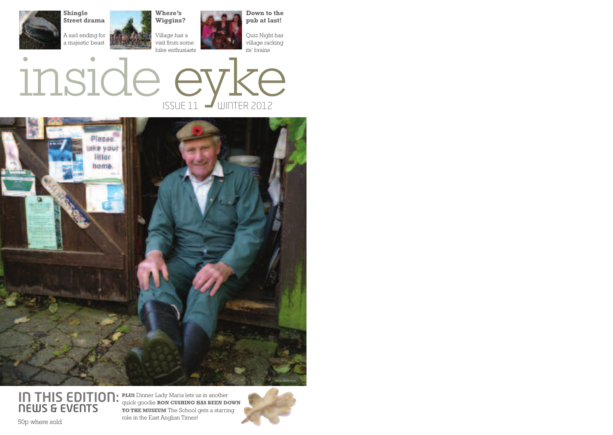





**IN THIS EDITION: NEWS & EVENTS** role in the East Anglian Times!

**PLUS** Dinner Lady Maria lets us in another quick goodie **RON CUSHING HAS BEEN DOWN TO THE MUSEUM** The School gets a starring

50p where sold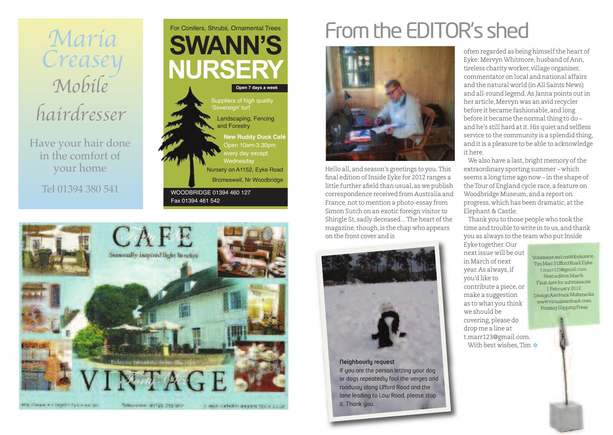

Have your hair done in the comfort of your home

Tel 01394 380 541





# From the EDITOR's shed



Hello all, and season's greetings to you.This final edition of Inside Eyke for 2012 ranges a little further afield than usual, as we publish correspondence received fromAustralia and France, not to mention a photo-essay from Simon Sutch on an exotic foreign visitor to Shingle St, sadly deceased... The heart of the magazine, though, is the chap who appears on the front cover and is



**Neighbourly request** If you are the person letting your dog or dogs repeatedly foul the verges and roadway along Ufford Road and the lane leading to Low Road, please stop it. Thank you.

often regarded as being himself the heart of Eyke: MervynWhitmore,husband of Ann, tireless charity worker, village organiser, commentator on local and national affairs and the natural world (in All Saints News) and all-round legend.As Janna points outin her article, Mervyn was an avid recycler before it became fashionable, and long before it became the normal thing to do and he's still hard at it. His quiet and selfless service to the community is a splendid thing, and itis a pleasure to be able to acknowledge it here.

We also have a last, bright memory of the extraordinary sporting summer – which seems a long time ago now – in the shape of theTour of England cycle race, a feature on Woodbridge Museum, and a report on progress, which has been dramatic, atthe Elephant & Castle.

Thank you to those people who took the time and trouble to write in to us, and thank you as always to the team who put Inside

Eyke together.Our nextissue will be out in March of next year.As always,if you'd like to contribute a piece, or make a suggestion as to what you think we should be covering, please do drop me a line at t.marr123@gmail.com. With best wishes. Tim  $\cdot\$ 

Volunteersandcontributions to TimMarr3UffordRoad,Eyke t.marr123@gmail.com Next edition March Final date for submissions 1 February 2012 DesignAardvark Multimedia www.virtualaardvark.com Printing Gipping Press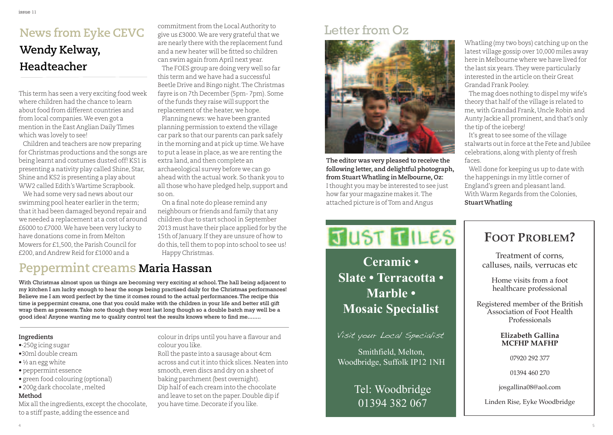#### **News from Eyke CEVC Wendy Kelway, Headteacher**

This term has seen a very exciting food week where children had the chance to learn about food from different countries and from local companies.We even got a mention in the East Anglian DailyTimes which was lovely to see!

Children and teachers are now preparing for Christmas productions and the songs are being learnt and costumes dusted off! KS1 is presenting a nativity play called Shine, Star, Shine and KS2 is presenting a play about WW2 called Edith'sWartime Scrapbook.

We had some very sad news about our swimming pool heater earlier in the term; thatit had been damaged beyond repair and we needed a replacement at a cost of around £6000 to £7000.We have been very lucky to have donations come in from Melton Mowers for £1,500, the Parish Council for £200, and Andrew Reid for £1000 and a

commitment from the Local Authority to give us £3000. We are very grateful that we are nearly there with the replacement fund and a new heater will be fitted so children can swim again fromApril next year. The FOES group are doing very well so far this term and we have had a successful Beetle Drive and Bingo night.The Christmas fayre is on 7th December (5pm- 7pm). Some of the funds they raise will support the replacement of the heater, we hope.

Planning news: we have been granted planning permission to extend the village car park so that our parents can park safely in the morning and at pick up time.We have to put a lease in place, as we are renting the extra land, and then complete an archaeological survey before we can go ahead with the actual work. So thank you to all those who have pledged help, support and so on.

On a final note do please remind any neighbours or friends and family that any children due to start school in September 2013 must have their place applied for by the 15th of January. If they are unsure of how to do this, tell them to pop into school to see us! Happy Christmas.

#### **Peppermint creams Maria Hassan**

With Christmas almost upon us things are becoming very exciting at school.The hall being adjacent to my kitchen I am lucky enough to hear the songs being practised daily for the Christmas performances! Believe me I am word perfect by the time it comes round to the actual performances.The recipe this time is peppermint creams, one that you could make with the children in your life and better still gift wrap them as presents.Take note though they wont last long though so a double batch may well be a good idea! Anyone wanting me to quality control test the results knows where to find me........

#### **Ingredients**

- •·250g icing sugar
- •30ml double cream
- $\bullet$  ½ an egg white
- peppermint essence
- green food colouring (optional)
- 200g dark chocolate ,melted

#### **Method**

Mix all the ingredients, except the chocolate, to a stiff paste, adding the essence and

colour in drips until you have a flavour and colour you like.

Roll the paste into a sausage about 4cm across and cutitinto thick slices.Neaten into smooth, even discs and dry on a sheet of baking parchment(best overnight). Dip half of each cream into the chocolate and leave to set on the paper.Double dip if you have time.Decorate if you like.

#### Letter from Oz



**The editor was very pleased to receive the following letter, and delightful photograph, from StuartWhatling in Melbourne, Oz:** Ithought you may be interested to see just how far your magazine makes it.The attached picture is ofTom and Angus

Whatling (my two boys) catching up on the latest village gossip over 10,000 miles away here in Melbourne where we have lived for the last six years.They were particularly interested in the article on their Great Grandad Frank Pooley.

The mag does nothing to dispel my wife's theory that half of the village is related to me, with Grandad Frank,Uncle Robin and Aunty Jackie all prominent, and that's only the tip of the iceberg!

It's great to see some of the village stalwarts outin force atthe Fete and Jubilee celebrations, along with plenty of fresh faces.

Well done for keeping us up to date with the happenings in my little corner of England's green and pleasantland. With Warm Regards from the Colonies, **StuartWhatling**

## **JUST TILES**

**Mosaic Specialist** deliveries to surrounding areas, fresh **Ceramic • Slate • Terracotta • Marble •**

Visit your Local Specialist

Smithfield, Melton, Woodbridge, Suffolk IP12 1NH

#### Tel: Woodbridge 01394 382 067

#### **Foot problem?**

Treatment of corns, calluses, nails, verrucas etc

Home visits from a foot healthcare professional

Registered member of the British Association of Foot Health Professionals

> **elizabeth Gallina mCFHp mAFHp**

> > 07920 292 377

01394 460 270

josgallina08@aol.com

Linden Rise, Eyke Woodbridge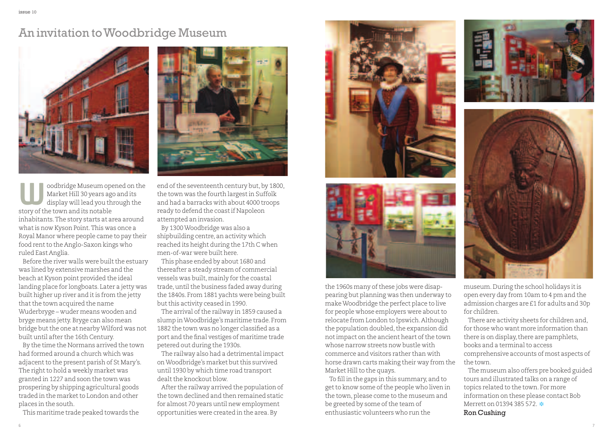#### An invitation toWoodbridge Museum



oodbridge Museum opened on the Market Hill 30 years ago and its display will lead you through the oodbridge Museum op<br>Market Hill 30 years ag<br>display will lead you th<br>story of the town and its notable inhabitants.The story starts at area around whatis now Kyson Point.This was once a Royal Manor where people came to pay their food rent to the Anglo-Saxon kings who ruled East Anglia.

Before the river walls were built the estuary was lined by extensive marshes and the beach at Kyson point provided the ideal landing place for longboats. Later a jetty was built higher up river and it is from the jetty that the town acquired the name Wuderbryge – wuder means wooden and bryge means jetty.Bryge can also mean bridge but the one at nearby Wilford was not built until after the 16th Century.

By the time the Normans arrived the town had formed around a church which was adjacent to the present parish of St Mary's. The right to hold a weekly market was granted in 1227 and soon the town was prospering by shipping agricultural goods traded in the market to London and other places in the south.

This maritime trade peaked towards the



end of the seventeenth century but, by 1800, the town was the fourth largestin Suffolk and had a barracks with about 4000 troops ready to defend the coastif Napoleon attempted an invasion.

By 1300Woodbridge was also a shipbuilding centre, an activity which reached its height during the 17th C when men-of-war were built here.

This phase ended by about 1680 and thereafter a steady stream of commercial vessels was built,mainly for the coastal trade, until the business faded away during the 1840s. From 1881 yachts were being built but this activity ceased in 1990.

The arrival of the railway in 1859 caused a slump inWoodbridge's maritime trade. From 1882 the town was no longer classified as a port and the final vestiges of maritime trade petered out during the 1930s.

The railway also had a detrimental impact on Woodbridge's market but this survived until 1930 by which time road transport dealt the knockout blow.

After the railway arrived the population of the town declined and then remained static for almost 70 years until new employment opportunities were created in the area.By





the 1960s many of these jobs were disappearing but planning was then underway to makeWoodbridge the perfect place to live for people whose employers were about to relocate from London to Ipswich.Although the population doubled, the expansion did not impact on the ancient heart of the town whose narrow streets now bustle with commerce and visitors rather than with horse drawn carts making their way from the Market Hill to the quays.

To fill in the gaps in this summary, and to get to know some of the people who liven in the town, please come to the museum and be greeted by some of the team of enthusiastic volunteers who run the





museum.During the school holidays itis open every day from 10am to 4 pm and the admission charges are £1 for adults and 30p for children.

There are activity sheets for children and, for those who want more information than there is on display, there are pamphlets, books and a terminalto access comprehensive accounts of most aspects of the town.

The museum also offers pre booked guided tours and illustrated talks on a range of topics related to the town. For more information on these please contact Bob Merrett on 01394 385 572 \* Ron Cushing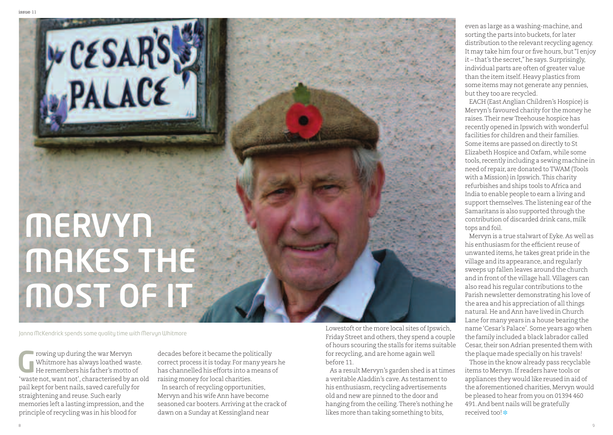# **MERVYN MAKES THE MOST OF IT**

Janna McKendrick spends some quality time with Mervyn Whitmore

**WESSARS** 

rowing up during the war Mervyn Whitmore has always loathed waste. He remembers his father's motto of Towing up during the war Mervyn<br>Whitmore has always loathed waste.<br>He remembers his father's motto of<br>"waste not, want not", characterised by an old pail kept for bent nails, saved carefully for straightening and reuse. Such early memories left a lasting impression, and the principle of recycling was in his blood for

decades before it became the politically correct process itis today. For many years he has channelled his efforts into a means of raising money for local charities.

In search of recycling opportunities, Mervyn and his wife Ann have become seasoned car booters. Arriving at the crack of dawn on a Sunday at Kessingland near

Lowestoft or the more local sites of Ipswich, Friday Street and others, they spend a couple of hours scouring the stalls for items suitable for recycling, and are home again well before 11.

As a result Mervyn's garden shed is at times a veritable Aladdin's cave. As testament to his enthusiasm, recycling advertisements old and new are pinned to the door and hanging from the ceiling.There's nothing he likes more than taking something to bits,

even as large as a washing-machine, and sorting the parts into buckets, for later distribution to the relevant recycling agency. It may take him four or five hours, but "I enjoy it – that's the secret,"he says. Surprisingly, individual parts are often of greater value than the item itself. Heavy plastics from some items may not generate any pennies, but they too are recycled.

EACH (East Anglian Children's Hospice) is Mervyn's favoured charity for the money he raises.Their new Treehouse hospice has recently opened in Ipswich with wonderful facilities for children and their families. Some items are passed on directly to St Elizabeth Hospice and Oxfam, while some tools, recently including a sewing machine in need of repair, are donated toTWAM (Tools with a Mission) in Ipswich.This charity refurbishes and ships tools to Africa and India to enable people to earn a living and support themselves. The listening ear of the Samaritans is also supported through the contribution of discarded drink cans,milk tops and foil.

Mervyn is a true stalwart of Eyke.As well as his enthusiasm for the efficient reuse of unwanted items, he takes great pride in the village and its appearance, and regularly sweeps up fallen leaves around the church and in front of the village hall. Villagers can also read his regular contributions to the Parish newsletter demonstrating his love of the area and his appreciation of all things natural.He and Ann have lived in Church Lane for many years in a house bearing the name'Cesar's Palace'. Some years ago when the family included a black labrador called Cesar, their son Adrian presented them with the plaque made specially on his travels!

Those in the know already pass recyclable items to Mervyn.If readers have tools or appliances they would like reused in aid of the aforementioned charities, Mervyn would be pleased to hear from you on 01394 460 491.And bent nails will be gratefully received too! **❉**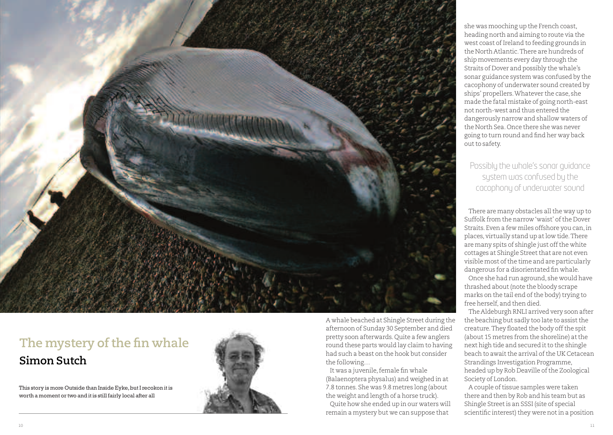

#### **The mystery of the fin whale Simon Sutch**

This story is more Outside than Inside Eyke, but I recokon it is worth a moment or two and it is still fairly local after all



A whale beached at Shingle Street during the afternoon of Sunday 30 September and died pretty soon afterwards.Quite a few anglers round these parts would lay claim to having had such a beast on the hook but consider the following…

It was a juvenile, female fin whale (Balaenoptera physalus) and weighed in at 7.8 tonnes. She was 9.8 metres long (about the weight and length of a horse truck).

Quite how she ended up in our waters will remain a mystery but we can suppose that

she was mooching up the French coast, heading north and aiming to route via the west coast of Ireland to feeding grounds in the North Atlantic.There are hundreds of ship movements every day through the Straits of Dover and possibly the whale's sonar guidance system was confused by the cacophony of underwater sound created by ships' propellers.Whatever the case, she made the fatal mistake of going north-east not north-west and thus entered the dangerously narrow and shallow waters of the North Sea.Once there she was never going to turn round and find her way back out to safety.

Possibly the whale's sonar guidance system was confused by the cacophony of underwater sound

There are many obstacles all the way up to Suffolk from the narrow'waist' ofthe Dover Straits. Even a few miles offshore you can,in places, virtually stand up atlow tide.There are many spits of shingle just off the white cottages at Shingle Street that are not even visible most of the time and are particularly dangerous for a disorientated fin whale.

Once she had run aground, she would have thrashed about (note the bloody scrape marks on the tail end of the body) trying to free herself, and then died.

The Aldeburgh RNLI arrived very soon after the beaching but sadly too late to assist the creature. They floated the body off the spit (about 15 metres from the shoreline) at the next high tide and secured it to the shingle beach to await the arrival of the UK Cetacean Strandings Investigation Programme, headed up by Rob Deaville of the Zoological Society of London.

A couple of tissue samples were taken there and then by Rob and his team but as Shingle Streetis an SSSI (site of special scientific interest) they were not in a position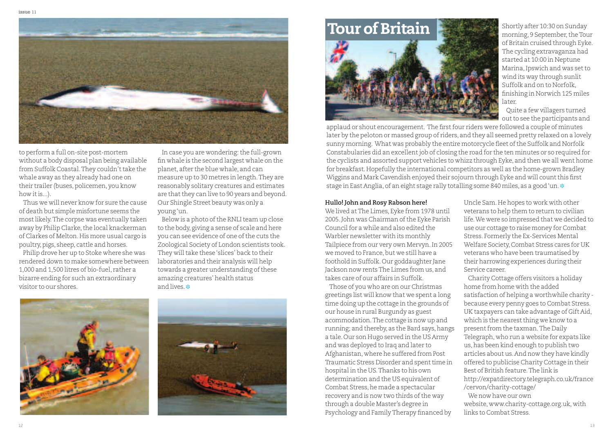

to perform a full on-site post-mortem without a body disposal plan being available from Suffolk Coastal. They couldn't take the whale away as they already had one on their trailer (buses, policemen, you know how itis...).

Thus we will never know for sure the cause of death but simple misfortune seems the mostlikely.The corpse was eventually taken away by Philip Clarke, the local knackerman of Clarkes of Melton.His more usual cargo is poultry, pigs, sheep, cattle and horses.

Philip drove her up to Stoke where she was rendered down to make somewhere between 1,000 and 1,500 litres of bio-fuel, rather a bizarre ending for such an extraordinary visitor to our shores.

In case you are wondering: the full-grown fin whale is the second largest whale on the planet, after the blue whale, and can measure up to 30 metres in length.They are reasonably solitary creatures and estimates are that they can live to 90 years and beyond. Our Shingle Street beauty was only a young'un.

Below is a photo of the RNLI team up close to the body, giving a sense of scale and here you can see evidence of one of the cuts the Zoological Society of London scientists took. They will take these 'slices' back to their laboratories and their analysis will help towards a greater understanding of these amazing creatures' health status and lives. **❉**





# **Tour** of Britain

Shortly after 10:30 on Sunday morning, 9 September, the Tour of Britain cruised through Eyke. The cycling extravaganza had started at 10:00 in Neptune Marina,Ipswich and was setto wind its way through sunlit Suffolk and on to Norfolk, finishing in Norwich 125 miles later.

Quite a few villagers turned out to see the participants and

applaud or shout encouragement. The first four riders were followed a couple of minutes later by the peloton or massed group of riders, and they all seemed pretty relaxed on a lovely sunny morning. What was probably the entire motorcycle fleet of the Suffolk and Norfolk Constabularies did an excellentjob of closing the road for the ten minutes or so required for the cyclists and assorted support vehicles to whizz through Eyke, and then we all went home for breakfast.Hopefully the international competitors as well as the home-grown Bradley Wiggins and Mark Cavendish enjoyed their sojourn through Eyke and will count this first stage in East Anglia, of an eight stage rally totalling some 840 miles, as a good'un. **❉**

#### **Hullo! John and Rosy Rabson here!**

We lived atThe Limes, Eyke from 1978 until 2005. John was Chairman of the Eyke Parish Councilfor a while and also edited the Warbler newsletter with its monthly Tailpiece from our very own Mervyn.In 2005 we moved to France, but we still have a foothold in Suffolk.Our goddaughter Jane Jackson now rentsThe Limes from us, and takes care of our affairs in Suffolk.

Those of you who are on our Christmas greetings list will know that we spent a long time doing up the cottage in the grounds of our house in rural Burgundy as guest acommodation.The cottage is now up and running; and thereby, as the Bard says, hangs a tale.Our son Hugo served in the US Army and was deployed to Iraq and later to Afghanistan, where he suffered from Post Traumatic Stress Disorder and spent time in hospital in the US.Thanks to his own determination and the US equivalent of Combat Stress, he made a spectacular recovery and is now two thirds of the way through a double Master's degree in Psychology and Family Therapy financed by

Uncle Sam.He hopes to work with other veterans to help them to return to civilian life.We were so impressed that we decided to use our cottage to raise money for Combat Stress. Formerly the Ex-Services Mental Welfare Society,Combat Stress cares for UK veterans who have been traumatised by their harrowing experiences during their Service career.

Charity Cottage offers visitors a holiday home from home with the added satisfaction of helping a worthwhile charity because every penny goes to Combat Stress. UK taxpayers can take advantage of Gift Aid, which is the nearest thing we know to a present from the taxman. The Daily Telegraph, who run a website for expats like us,has been kind enough to publish two articles about us.And now they have kindly offered to publicise Charity Cottage in their Best of British feature.The link is http://expatdirectory.telegraph.co.uk/france /cervon/charity-cottage/ We now have our own

website, www.charity-cottage.org.uk, with links to Combat Stress.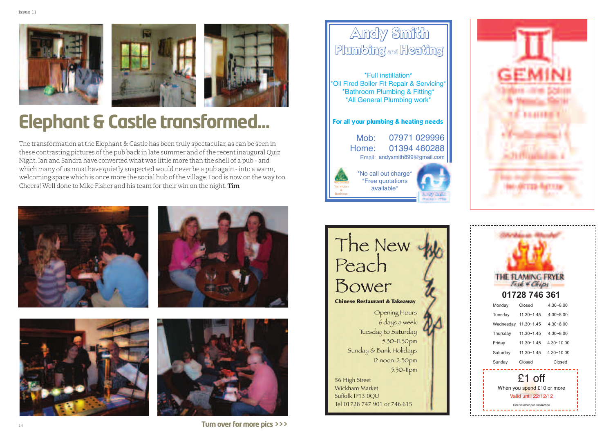





### **Elephant & Castle transformed...**

The transformation atthe Elephant & Castle has been truly spectacular, as can be seen in these contrasting pictures ofthe pub back in late summer and ofthe recentinaugural Quiz Night.Ian and Sandra have converted what was little more than the shell of a pub - and which many of us must have quietly suspected would never be a pub again - into a warm, welcoming space which is once more the social hub ofthe village. Food is now on the way too. Cheers!Well done to Mike Fisher and his team for their win on the night.**Tim**









#### Andy Smith Plumbing and Heating 07971 029996 Moh<sup>-</sup> For all your plumbing & heating needs \*Full instillation\* \*Oil Fired Boiler Fit Repair & Servicing\* \*Bathroom Plumbing & Fitting\* \*All General Plumbing work\*





**Registered Technician** & **Business** 







**Turn over for more pics>>>**